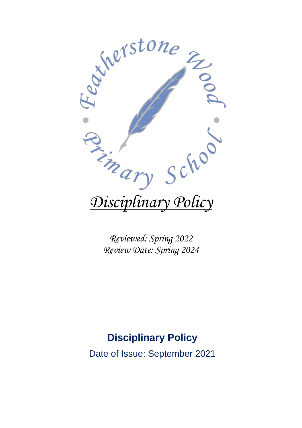

*Reviewed: Spring 2022 Review Date: Spring 2024*

# **Disciplinary Policy**

Date of Issue: September 2021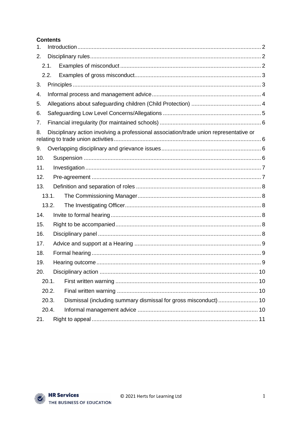#### **Contents**

| 1.    |                                                                                        |  |  |
|-------|----------------------------------------------------------------------------------------|--|--|
| 2.    |                                                                                        |  |  |
|       | 2.1.                                                                                   |  |  |
|       | 2.2.                                                                                   |  |  |
| 3.    |                                                                                        |  |  |
| 4.    |                                                                                        |  |  |
| 5.    |                                                                                        |  |  |
| 6.    |                                                                                        |  |  |
| 7.    |                                                                                        |  |  |
| 8.    | Disciplinary action involving a professional association/trade union representative or |  |  |
| 9.    |                                                                                        |  |  |
| 10.   |                                                                                        |  |  |
| 11.   |                                                                                        |  |  |
| 12.   |                                                                                        |  |  |
| 13.   |                                                                                        |  |  |
| 13.1. |                                                                                        |  |  |
| 13.2. |                                                                                        |  |  |
| 14.   |                                                                                        |  |  |
| 15.   |                                                                                        |  |  |
| 16.   |                                                                                        |  |  |
| 17.   |                                                                                        |  |  |
| 18.   |                                                                                        |  |  |
| 19.   |                                                                                        |  |  |
| 20.   |                                                                                        |  |  |
|       | 20.1.                                                                                  |  |  |
|       | 20.2.                                                                                  |  |  |
|       | 20.3.                                                                                  |  |  |
|       | 20.4.                                                                                  |  |  |
| 21.   |                                                                                        |  |  |

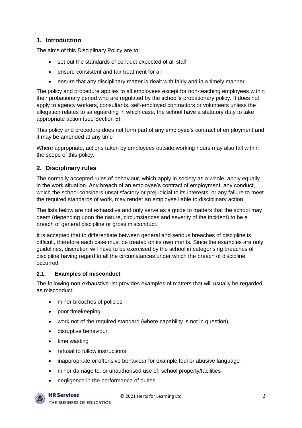# <span id="page-2-0"></span>**1. Introduction**

The aims of this Disciplinary Policy are to:

- set out the standards of conduct expected of all staff
- ensure consistent and fair treatment for all
- ensure that any disciplinary matter is dealt with fairly and in a timely manner

The policy and procedure applies to all employees except for non-teaching employees within their probationary period who are regulated by the school's probationary policy. It does not apply to agency workers, consultants, self-employed contractors or volunteers unless the allegation relates to safeguarding in which case, the school have a statutory duty to take appropriate action (see Section 5).

This policy and procedure does not form part of any employee's contract of employment and it may be amended at any time

Where appropriate, actions taken by employees outside working hours may also fall within the scope of this policy.

# <span id="page-2-1"></span>**2. Disciplinary rules**

The normally accepted rules of behaviour, which apply in society as a whole, apply equally in the work situation. Any breach of an employee's contract of employment, any conduct, which the school considers unsatisfactory or prejudicial to its interests, or any failure to meet the required standards of work, may render an employee liable to disciplinary action.

The lists below are not exhaustive and only serve as a guide to matters that the school may deem (depending upon the nature, circumstances and severity of the incident) to be a breach of general discipline or gross misconduct.

It is accepted that to differentiate between general and serious breaches of discipline is difficult, therefore each case must be treated on its own merits. Since the examples are only guidelines, discretion will have to be exercised by the school in categorising breaches of discipline having regard to all the circumstances under which the breach of discipline occurred.

#### <span id="page-2-2"></span>**2.1. Examples of misconduct**

The following non-exhaustive list provides examples of matters that will usually be regarded as misconduct:

- minor breaches of policies
- poor timekeeping
- work not of the required standard (where capability is not in question)
- disruptive behaviour
- time wasting
- refusal to follow instructions
- inappropriate or offensive behaviour for example foul or abusive language
- minor damage to, or unauthorised use of, school property/facilities
- negligence in the performance of duties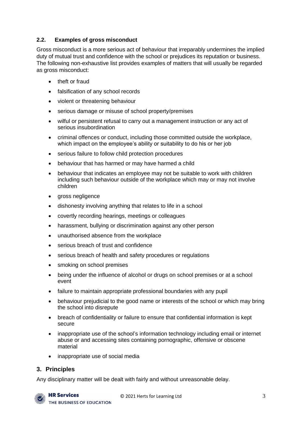#### <span id="page-3-0"></span>**2.2. Examples of gross misconduct**

Gross misconduct is a more serious act of behaviour that irreparably undermines the implied duty of mutual trust and confidence with the school or prejudices its reputation or business. The following non-exhaustive list provides examples of matters that will usually be regarded as gross misconduct:

- theft or fraud
- falsification of any school records
- violent or threatening behaviour
- serious damage or misuse of school property/premises
- wilful or persistent refusal to carry out a management instruction or any act of serious insubordination
- criminal offences or conduct, including those committed outside the workplace, which impact on the employee's ability or suitability to do his or her job
- serious failure to follow child protection procedures
- behaviour that has harmed or may have harmed a child
- behaviour that indicates an employee may not be suitable to work with children including such behaviour outside of the workplace which may or may not involve children
- gross negligence
- dishonesty involving anything that relates to life in a school
- covertly recording hearings, meetings or colleagues
- harassment, bullying or discrimination against any other person
- unauthorised absence from the workplace
- serious breach of trust and confidence
- serious breach of health and safety procedures or regulations
- smoking on school premises
- being under the influence of alcohol or drugs on school premises or at a school event
- failure to maintain appropriate professional boundaries with any pupil
- behaviour prejudicial to the good name or interests of the school or which may bring the school into disrepute
- breach of confidentiality or failure to ensure that confidential information is kept secure
- inappropriate use of the school's information technology including email or internet abuse or and accessing sites containing pornographic, offensive or obscene material
- inappropriate use of social media

#### <span id="page-3-1"></span>**3. Principles**

Any disciplinary matter will be dealt with fairly and without unreasonable delay.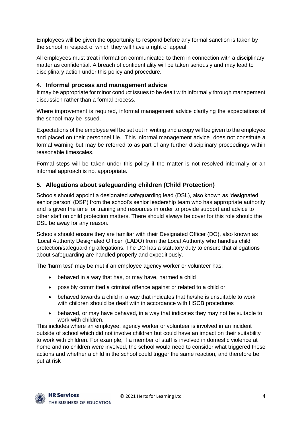Employees will be given the opportunity to respond before any formal sanction is taken by the school in respect of which they will have a right of appeal.

All employees must treat information communicated to them in connection with a disciplinary matter as confidential. A breach of confidentiality will be taken seriously and may lead to disciplinary action under this policy and procedure.

#### <span id="page-4-0"></span>**4. Informal process and management advice**

It may be appropriate for minor conduct issues to be dealt with informally through management discussion rather than a formal process.

Where improvement is required, informal management advice clarifying the expectations of the school may be issued.

Expectations of the employee will be set out in writing and a copy will be given to the employee and placed on their personnel file. This informal management advice does not constitute a formal warning but may be referred to as part of any further disciplinary proceedings within reasonable timescales.

Formal steps will be taken under this policy if the matter is not resolved informally or an informal approach is not appropriate.

#### <span id="page-4-1"></span>**5. Allegations about safeguarding children (Child Protection)**

Schools should appoint a designated safeguarding lead (DSL), also known as 'designated senior person' (DSP) from the school's senior leadership team who has appropriate authority and is given the time for training and resources in order to provide support and advice to other staff on child protection matters. There should always be cover for this role should the DSL be away for any reason.

Schools should ensure they are familiar with their Designated Officer (DO), also known as 'Local Authority Designated Officer' (LADO) from the Local Authority who handles child protection/safeguarding allegations. The DO has a statutory duty to ensure that allegations about safeguarding are handled properly and expeditiously.

The 'harm test' may be met if an employee agency worker or volunteer has:

- behaved in a way that has, or may have, harmed a child
- possibly committed a criminal offence against or related to a child or
- behaved towards a child in a way that indicates that he/she is unsuitable to work with children should be dealt with in accordance with HSCB procedures
- behaved, or may have behaved, in a way that indicates they may not be suitable to work with children.

This includes where an employee, agency worker or volunteer is involved in an incident outside of school which did not involve children but could have an impact on their suitability to work with children. For example, if a member of staff is involved in domestic violence at home and no children were involved, the school would need to consider what triggered these actions and whether a child in the school could trigger the same reaction, and therefore be put at risk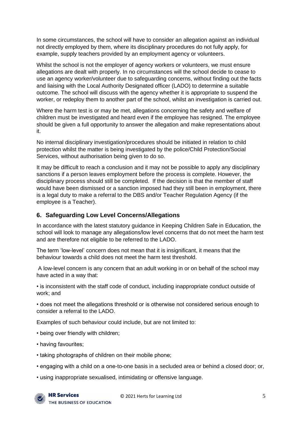In some circumstances, the school will have to consider an allegation against an individual not directly employed by them, where its disciplinary procedures do not fully apply, for example, supply teachers provided by an employment agency or volunteers.

Whilst the school is not the employer of agency workers or volunteers, we must ensure allegations are dealt with properly. In no circumstances will the school decide to cease to use an agency worker/volunteer due to safeguarding concerns, without finding out the facts and liaising with the Local Authority Designated officer (LADO) to determine a suitable outcome. The school will discuss with the agency whether it is appropriate to suspend the worker, or redeploy them to another part of the school, whilst an investigation is carried out.

Where the harm test is or may be met, allegations concerning the safety and welfare of children must be investigated and heard even if the employee has resigned. The employee should be given a full opportunity to answer the allegation and make representations about it.

No internal disciplinary investigation/procedures should be initiated in relation to child protection whilst the matter is being investigated by the police/Child Protection/Social Services, without authorisation being given to do so.

It may be difficult to reach a conclusion and it may not be possible to apply any disciplinary sanctions if a person leaves employment before the process is complete. However, the disciplinary process should still be completed. If the decision is that the member of staff would have been dismissed or a sanction imposed had they still been in employment, there is a legal duty to make a referral to the DBS and/or Teacher Regulation Agency (if the employee is a Teacher).

#### <span id="page-5-0"></span>**6. Safeguarding Low Level Concerns/Allegations**

In accordance with the latest statutory guidance in Keeping Children Safe in Education, the school will look to manage any allegations/low level concerns that do not meet the harm test and are therefore not eligible to be referred to the LADO.

The term 'low-level' concern does not mean that it is insignificant, it means that the behaviour towards a child does not meet the harm test threshold.

A low-level concern is any concern that an adult working in or on behalf of the school may have acted in a way that:

• is inconsistent with the staff code of conduct, including inappropriate conduct outside of work; and

• does not meet the allegations threshold or is otherwise not considered serious enough to consider a referral to the LADO.

Examples of such behaviour could include, but are not limited to:

- being over friendly with children;
- having favourites;
- taking photographs of children on their mobile phone;
- engaging with a child on a one-to-one basis in a secluded area or behind a closed door; or,
- using inappropriate sexualised, intimidating or offensive language.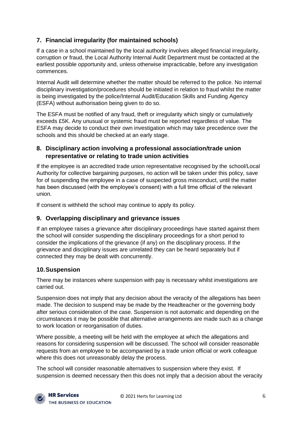# <span id="page-6-0"></span>**7. Financial irregularity (for maintained schools)**

If a case in a school maintained by the local authority involves alleged financial irregularity, corruption or fraud, the Local Authority Internal Audit Department must be contacted at the earliest possible opportunity and, unless otherwise impracticable, before any investigation commences.

Internal Audit will determine whether the matter should be referred to the police. No internal disciplinary investigation/procedures should be initiated in relation to fraud whilst the matter is being investigated by the police/Internal Audit/Education Skills and Funding Agency (ESFA) without authorisation being given to do so.

The ESFA must be notified of any fraud, theft or irregularity which singly or cumulatively exceeds £5K. Any unusual or systemic fraud must be reported regardless of value. The ESFA may decide to conduct their own investigation which may take precedence over the schools and this should be checked at an early stage.

# <span id="page-6-1"></span>**8. Disciplinary action involving a professional association/trade union representative or relating to trade union activities**

If the employee is an accredited trade union representative recognised by the school/Local Authority for collective bargaining purposes, no action will be taken under this policy, save for of suspending the employee in a case of suspected gross misconduct, until the matter has been discussed (with the employee's consent) with a full time official of the relevant union.

If consent is withheld the school may continue to apply its policy.

## <span id="page-6-2"></span>**9. Overlapping disciplinary and grievance issues**

If an employee raises a grievance after disciplinary proceedings have started against them the school will consider suspending the disciplinary proceedings for a short period to consider the implications of the grievance (if any) on the disciplinary process. If the grievance and disciplinary issues are unrelated they can be heard separately but if connected they may be dealt with concurrently.

## <span id="page-6-3"></span>**10.Suspension**

There may be instances where suspension with pay is necessary whilst investigations are carried out.

Suspension does not imply that any decision about the veracity of the allegations has been made. The decision to suspend may be made by the Headteacher or the governing body after serious consideration of the case. Suspension is not automatic and depending on the circumstances it may be possible that alternative arrangements are made such as a change to work location or reorganisation of duties.

Where possible, a meeting will be held with the employee at which the allegations and reasons for considering suspension will be discussed. The school will consider reasonable requests from an employee to be accompanied by a trade union official or work colleague where this does not unreasonably delay the process.

The school will consider reasonable alternatives to suspension where they exist. If suspension is deemed necessary then this does not imply that a decision about the veracity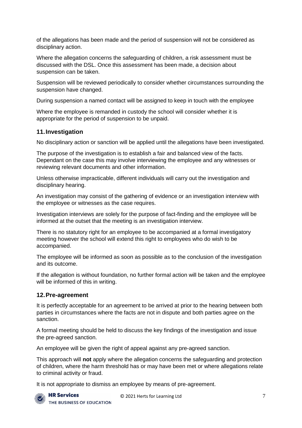of the allegations has been made and the period of suspension will not be considered as disciplinary action.

Where the allegation concerns the safeguarding of children, a risk assessment must be discussed with the DSL. Once this assessment has been made, a decision about suspension can be taken.

Suspension will be reviewed periodically to consider whether circumstances surrounding the suspension have changed.

During suspension a named contact will be assigned to keep in touch with the employee

Where the employee is remanded in custody the school will consider whether it is appropriate for the period of suspension to be unpaid.

#### <span id="page-7-0"></span>**11.Investigation**

No disciplinary action or sanction will be applied until the allegations have been investigated.

The purpose of the investigation is to establish a fair and balanced view of the facts. Dependant on the case this may involve interviewing the employee and any witnesses or reviewing relevant documents and other information.

Unless otherwise impracticable, different individuals will carry out the investigation and disciplinary hearing.

An investigation may consist of the gathering of evidence or an investigation interview with the employee or witnesses as the case requires.

Investigation interviews are solely for the purpose of fact-finding and the employee will be informed at the outset that the meeting is an investigation interview.

There is no statutory right for an employee to be accompanied at a formal investigatory meeting however the school will extend this right to employees who do wish to be accompanied.

The employee will be informed as soon as possible as to the conclusion of the investigation and its outcome.

If the allegation is without foundation, no further formal action will be taken and the employee will be informed of this in writing.

#### <span id="page-7-1"></span>**12.Pre-agreement**

It is perfectly acceptable for an agreement to be arrived at prior to the hearing between both parties in circumstances where the facts are not in dispute and both parties agree on the sanction.

A formal meeting should be held to discuss the key findings of the investigation and issue the pre-agreed sanction.

An employee will be given the right of appeal against any pre-agreed sanction.

This approach will **not** apply where the allegation concerns the safeguarding and protection of children, where the harm threshold has or may have been met or where allegations relate to criminal activity or fraud.

It is not appropriate to dismiss an employee by means of pre-agreement.

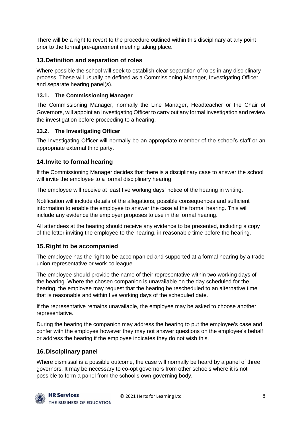There will be a right to revert to the procedure outlined within this disciplinary at any point prior to the formal pre-agreement meeting taking place.

# <span id="page-8-0"></span>**13.Definition and separation of roles**

Where possible the school will seek to establish clear separation of roles in any disciplinary process. These will usually be defined as a Commissioning Manager, Investigating Officer and separate hearing panel(s).

# <span id="page-8-1"></span>**13.1. The Commissioning Manager**

The Commissioning Manager, normally the Line Manager, Headteacher or the Chair of Governors, will appoint an Investigating Officer to carry out any formal investigation and review the investigation before proceeding to a hearing.

# <span id="page-8-2"></span>**13.2. The Investigating Officer**

The Investigating Officer will normally be an appropriate member of the school's staff or an appropriate external third party.

# <span id="page-8-3"></span>**14.Invite to formal hearing**

If the Commissioning Manager decides that there is a disciplinary case to answer the school will invite the employee to a formal disciplinary hearing.

The employee will receive at least five working days' notice of the hearing in writing.

Notification will include details of the allegations, possible consequences and sufficient information to enable the employee to answer the case at the formal hearing. This will include any evidence the employer proposes to use in the formal hearing.

All attendees at the hearing should receive any evidence to be presented, including a copy of the letter inviting the employee to the hearing, in reasonable time before the hearing.

# <span id="page-8-4"></span>**15.Right to be accompanied**

The employee has the right to be accompanied and supported at a formal hearing by a trade union representative or work colleague.

The employee should provide the name of their representative within two working days of the hearing. Where the chosen companion is unavailable on the day scheduled for the hearing, the employee may request that the hearing be rescheduled to an alternative time that is reasonable and within five working days of the scheduled date.

If the representative remains unavailable, the employee may be asked to choose another representative.

During the hearing the companion may address the hearing to put the employee's case and confer with the employee however they may not answer questions on the employee's behalf or address the hearing if the employee indicates they do not wish this.

# <span id="page-8-5"></span>**16.Disciplinary panel**

Where dismissal is a possible outcome, the case will normally be heard by a panel of three governors. It may be necessary to co-opt governors from other schools where it is not possible to form a panel from the school's own governing body.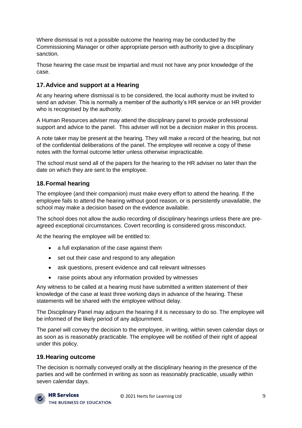Where dismissal is not a possible outcome the hearing may be conducted by the Commissioning Manager or other appropriate person with authority to give a disciplinary sanction.

Those hearing the case must be impartial and must not have any prior knowledge of the case.

## <span id="page-9-0"></span>**17.Advice and support at a Hearing**

At any hearing where dismissal is to be considered, the local authority must be invited to send an adviser. This is normally a member of the authority's HR service or an HR provider who is recognised by the authority.

A Human Resources adviser may attend the disciplinary panel to provide professional support and advice to the panel. This adviser will not be a decision maker in this process.

A note taker may be present at the hearing. They will make a record of the hearing, but not of the confidential deliberations of the panel. The employee will receive a copy of these notes with the formal outcome letter unless otherwise impracticable.

The school must send all of the papers for the hearing to the HR adviser no later than the date on which they are sent to the employee.

# <span id="page-9-1"></span>**18.Formal hearing**

The employee (and their companion) must make every effort to attend the hearing. If the employee fails to attend the hearing without good reason, or is persistently unavailable, the school may make a decision based on the evidence available.

The school does not allow the audio recording of disciplinary hearings unless there are preagreed exceptional circumstances. Covert recording is considered gross misconduct.

At the hearing the employee will be entitled to:

- a full explanation of the case against them
- set out their case and respond to any allegation
- ask questions, present evidence and call relevant witnesses
- raise points about any information provided by witnesses

Any witness to be called at a hearing must have submitted a written statement of their knowledge of the case at least three working days in advance of the hearing. These statements will be shared with the employee without delay.

The Disciplinary Panel may adjourn the hearing if it is necessary to do so. The employee will be informed of the likely period of any adjournment.

The panel will convey the decision to the employee, in writing, within seven calendar days or as soon as is reasonably practicable. The employee will be notified of their right of appeal under this policy.

## <span id="page-9-2"></span>**19.Hearing outcome**

The decision is normally conveyed orally at the disciplinary hearing in the presence of the parties and will be confirmed in writing as soon as reasonably practicable, usually within seven calendar days.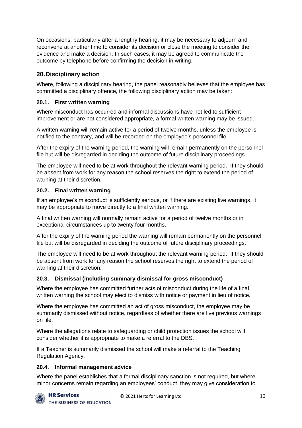On occasions, particularly after a lengthy hearing, it may be necessary to adjourn and reconvene at another time to consider its decision or close the meeting to consider the evidence and make a decision. In such cases, it may be agreed to communicate the outcome by telephone before confirming the decision in writing.

# <span id="page-10-0"></span>**20.Disciplinary action**

Where, following a disciplinary hearing, the panel reasonably believes that the employee has committed a disciplinary offence, the following disciplinary action may be taken:

#### <span id="page-10-1"></span>**20.1. First written warning**

Where misconduct has occurred and informal discussions have not led to sufficient improvement or are not considered appropriate, a formal written warning may be issued.

A written warning will remain active for a period of twelve months, unless the employee is notified to the contrary, and will be recorded on the employee's personnel file.

After the expiry of the warning period, the warning will remain permanently on the personnel file but will be disregarded in deciding the outcome of future disciplinary proceedings.

The employee will need to be at work throughout the relevant warning period. If they should be absent from work for any reason the school reserves the right to extend the period of warning at their discretion.

#### <span id="page-10-2"></span>**20.2. Final written warning**

If an employee's misconduct is sufficiently serious, or if there are existing live warnings, it may be appropriate to move directly to a final written warning.

A final written warning will normally remain active for a period of twelve months or in exceptional circumstances up to twenty four months.

After the expiry of the warning period the warning will remain permanently on the personnel file but will be disregarded in deciding the outcome of future disciplinary proceedings.

The employee will need to be at work throughout the relevant warning period. If they should be absent from work for any reason the school reserves the right to extend the period of warning at their discretion.

## <span id="page-10-3"></span>**20.3. Dismissal (including summary dismissal for gross misconduct)**

Where the employee has committed further acts of misconduct during the life of a final written warning the school may elect to dismiss with notice or payment in lieu of notice.

Where the employee has committed an act of gross misconduct, the employee may be summarily dismissed without notice, regardless of whether there are live previous warnings on file.

Where the allegations relate to safeguarding or child protection issues the school will consider whether it is appropriate to make a referral to the DBS.

If a Teacher is summarily dismissed the school will make a referral to the Teaching Regulation Agency.

#### <span id="page-10-4"></span>**20.4. Informal management advice**

Where the panel establishes that a formal disciplinary sanction is not required, but where minor concerns remain regarding an employees' conduct, they may give consideration to